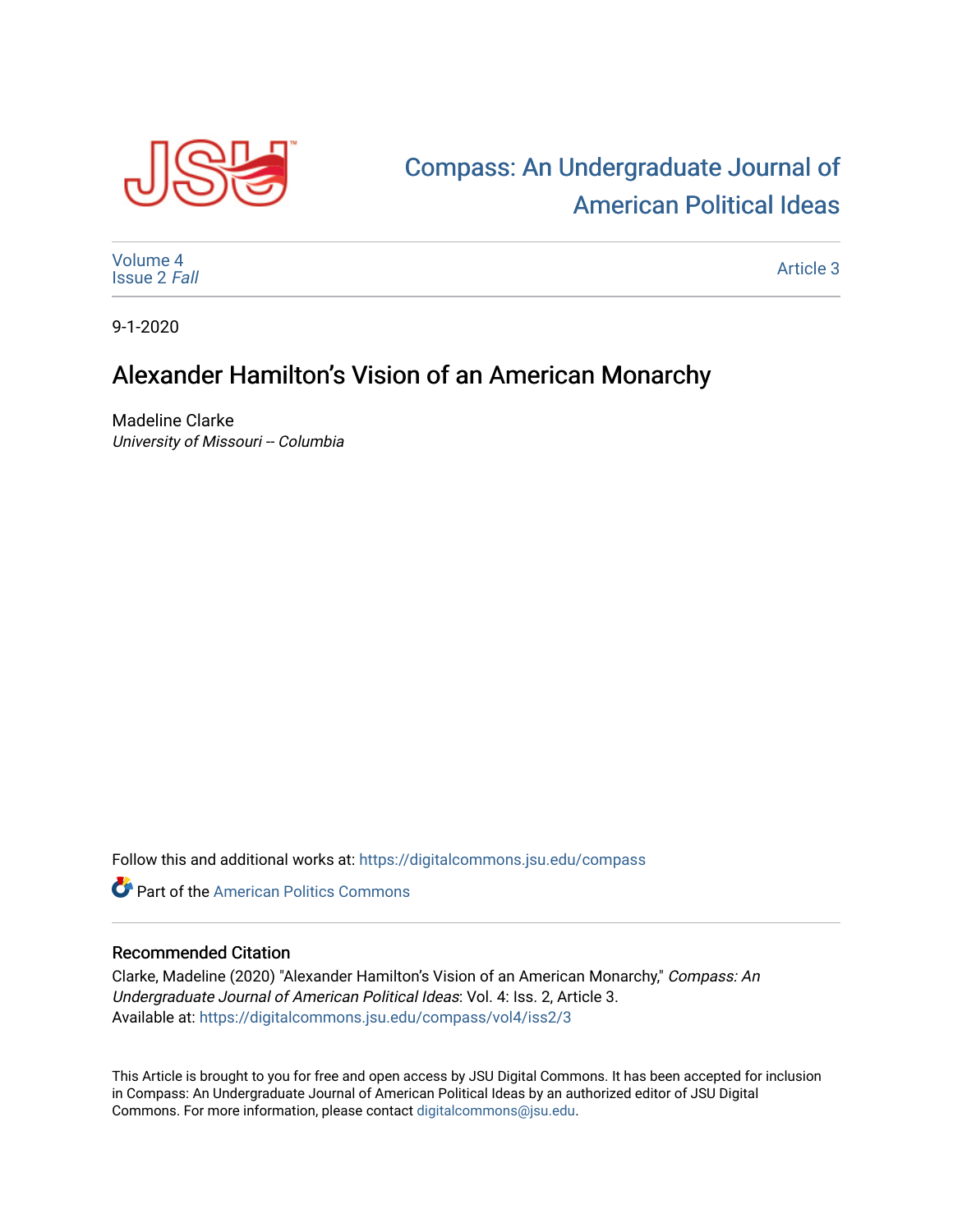

## [Compass: An Undergraduate Journal of](https://digitalcommons.jsu.edu/compass)  [American Political Ideas](https://digitalcommons.jsu.edu/compass)

[Volume 4](https://digitalcommons.jsu.edu/compass/vol4) [Issue 2](https://digitalcommons.jsu.edu/compass/vol4/iss2) Fall

[Article 3](https://digitalcommons.jsu.edu/compass/vol4/iss2/3) 

9-1-2020

## Alexander Hamilton's Vision of an American Monarchy

Madeline Clarke University of Missouri -- Columbia

Follow this and additional works at: [https://digitalcommons.jsu.edu/compass](https://digitalcommons.jsu.edu/compass?utm_source=digitalcommons.jsu.edu%2Fcompass%2Fvol4%2Fiss2%2F3&utm_medium=PDF&utm_campaign=PDFCoverPages)

**C** Part of the American Politics Commons

## Recommended Citation

Clarke, Madeline (2020) "Alexander Hamilton's Vision of an American Monarchy," Compass: An Undergraduate Journal of American Political Ideas: Vol. 4: Iss. 2, Article 3. Available at: [https://digitalcommons.jsu.edu/compass/vol4/iss2/3](https://digitalcommons.jsu.edu/compass/vol4/iss2/3?utm_source=digitalcommons.jsu.edu%2Fcompass%2Fvol4%2Fiss2%2F3&utm_medium=PDF&utm_campaign=PDFCoverPages)

This Article is brought to you for free and open access by JSU Digital Commons. It has been accepted for inclusion in Compass: An Undergraduate Journal of American Political Ideas by an authorized editor of JSU Digital Commons. For more information, please contact [digitalcommons@jsu.edu.](mailto:digitalcommons@jsu.edu)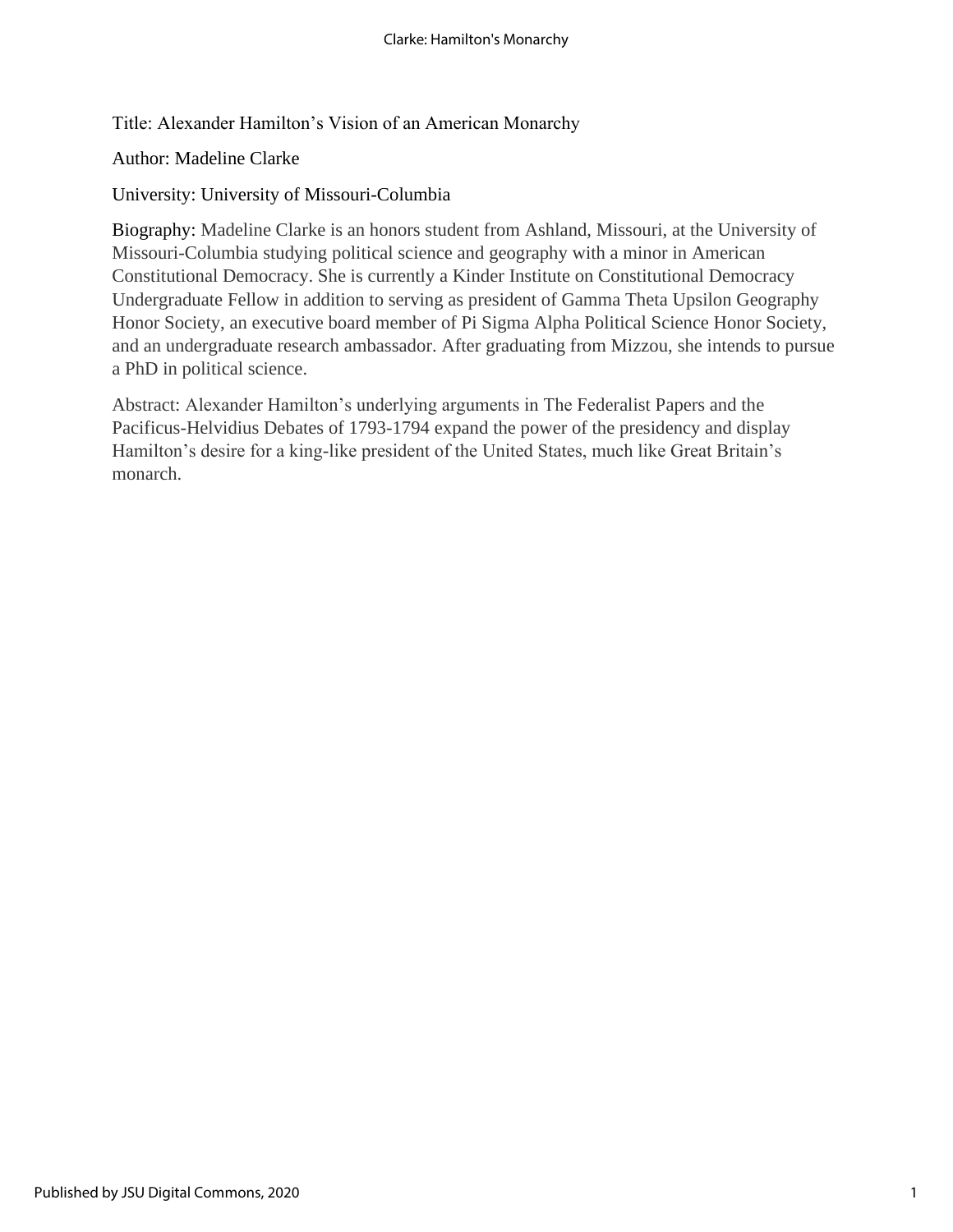Title: Alexander Hamilton's Vision of an American Monarchy

Author: Madeline Clarke

University: University of Missouri-Columbia

Biography: Madeline Clarke is an honors student from Ashland, Missouri, at the University of Missouri-Columbia studying political science and geography with a minor in American Constitutional Democracy. She is currently a Kinder Institute on Constitutional Democracy Undergraduate Fellow in addition to serving as president of Gamma Theta Upsilon Geography Honor Society, an executive board member of Pi Sigma Alpha Political Science Honor Society, and an undergraduate research ambassador. After graduating from Mizzou, she intends to pursue a PhD in political science.

Abstract: Alexander Hamilton's underlying arguments in The Federalist Papers and the Pacificus-Helvidius Debates of 1793-1794 expand the power of the presidency and display Hamilton's desire for a king-like president of the United States, much like Great Britain's monarch.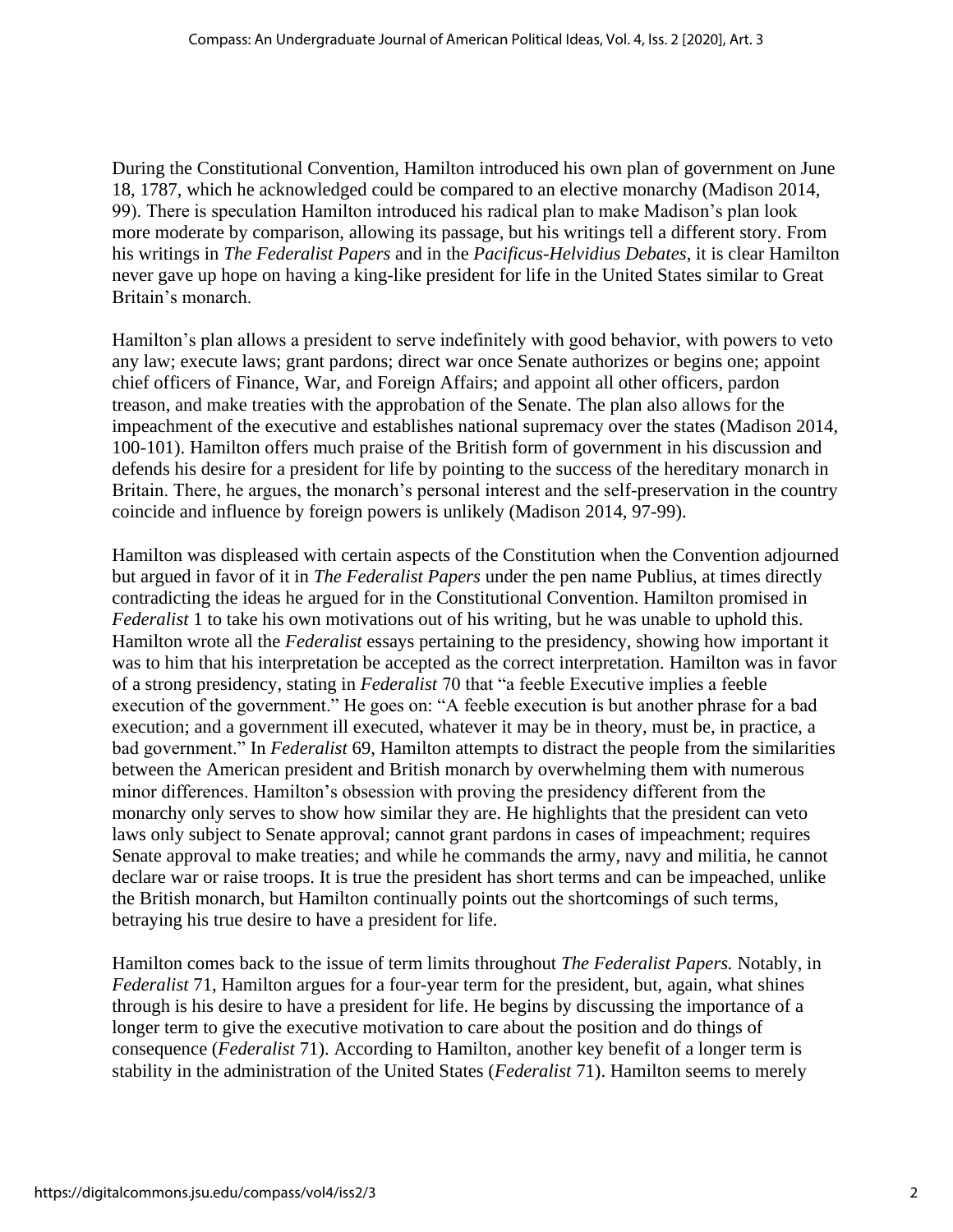During the Constitutional Convention, Hamilton introduced his own plan of government on June 18, 1787, which he acknowledged could be compared to an elective monarchy (Madison 2014, 99). There is speculation Hamilton introduced his radical plan to make Madison's plan look more moderate by comparison, allowing its passage, but his writings tell a different story. From his writings in *The Federalist Papers* and in the *Pacificus-Helvidius Debates*, it is clear Hamilton never gave up hope on having a king-like president for life in the United States similar to Great Britain's monarch.

Hamilton's plan allows a president to serve indefinitely with good behavior, with powers to veto any law; execute laws; grant pardons; direct war once Senate authorizes or begins one; appoint chief officers of Finance, War, and Foreign Affairs; and appoint all other officers, pardon treason, and make treaties with the approbation of the Senate. The plan also allows for the impeachment of the executive and establishes national supremacy over the states (Madison 2014, 100-101). Hamilton offers much praise of the British form of government in his discussion and defends his desire for a president for life by pointing to the success of the hereditary monarch in Britain. There, he argues, the monarch's personal interest and the self-preservation in the country coincide and influence by foreign powers is unlikely (Madison 2014, 97-99).

Hamilton was displeased with certain aspects of the Constitution when the Convention adjourned but argued in favor of it in *The Federalist Papers* under the pen name Publius, at times directly contradicting the ideas he argued for in the Constitutional Convention. Hamilton promised in *Federalist* 1 to take his own motivations out of his writing, but he was unable to uphold this. Hamilton wrote all the *Federalist* essays pertaining to the presidency, showing how important it was to him that his interpretation be accepted as the correct interpretation. Hamilton was in favor of a strong presidency, stating in *Federalist* 70 that "a feeble Executive implies a feeble execution of the government." He goes on: "A feeble execution is but another phrase for a bad execution; and a government ill executed, whatever it may be in theory, must be, in practice, a bad government." In *Federalist* 69, Hamilton attempts to distract the people from the similarities between the American president and British monarch by overwhelming them with numerous minor differences. Hamilton's obsession with proving the presidency different from the monarchy only serves to show how similar they are. He highlights that the president can veto laws only subject to Senate approval; cannot grant pardons in cases of impeachment; requires Senate approval to make treaties; and while he commands the army, navy and militia, he cannot declare war or raise troops. It is true the president has short terms and can be impeached, unlike the British monarch, but Hamilton continually points out the shortcomings of such terms, betraying his true desire to have a president for life.

Hamilton comes back to the issue of term limits throughout *The Federalist Papers.* Notably, in *Federalist* 71, Hamilton argues for a four-year term for the president, but, again, what shines through is his desire to have a president for life. He begins by discussing the importance of a longer term to give the executive motivation to care about the position and do things of consequence (*Federalist* 71). According to Hamilton, another key benefit of a longer term is stability in the administration of the United States (*Federalist* 71). Hamilton seems to merely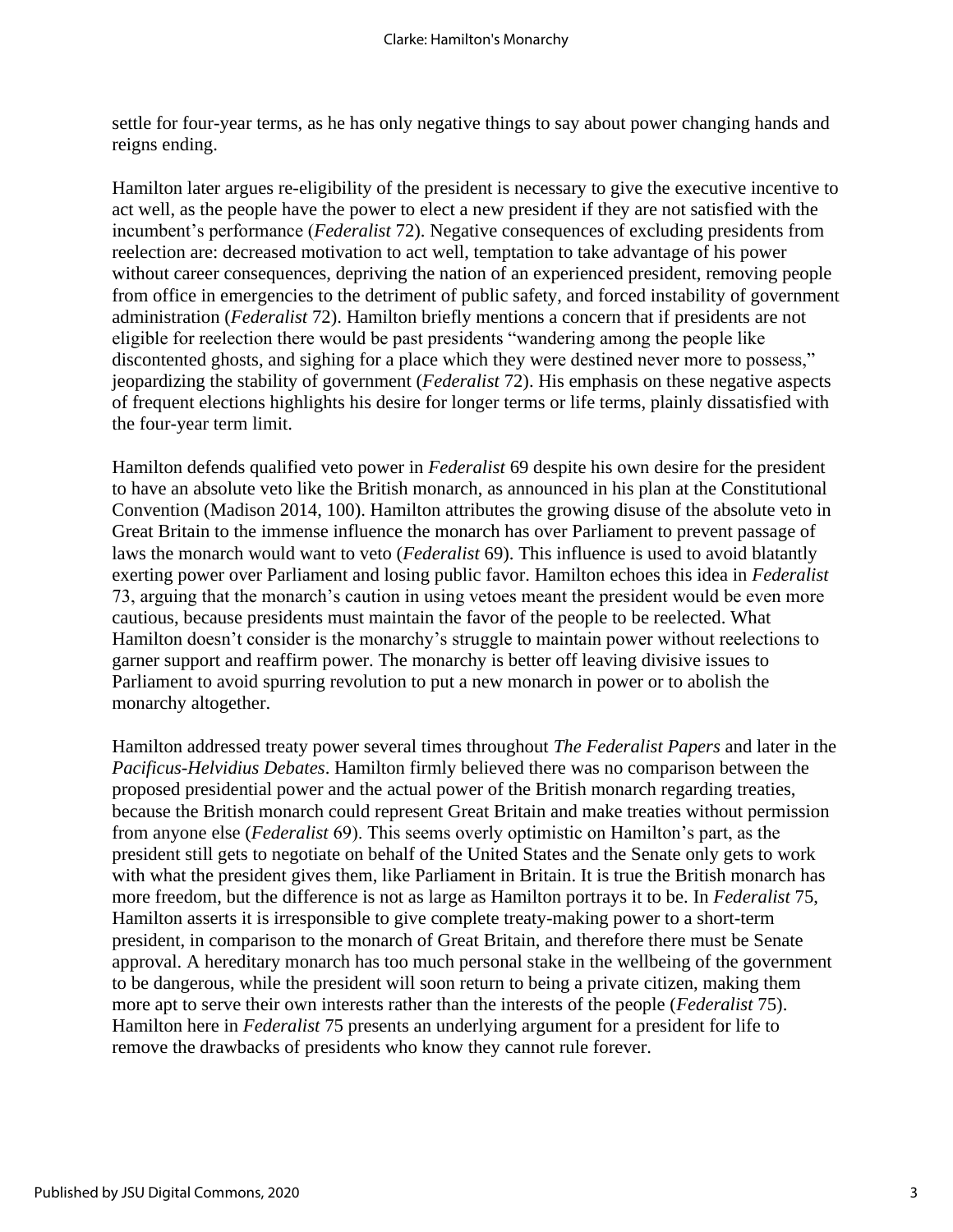settle for four-year terms, as he has only negative things to say about power changing hands and reigns ending.

Hamilton later argues re-eligibility of the president is necessary to give the executive incentive to act well, as the people have the power to elect a new president if they are not satisfied with the incumbent's performance (*Federalist* 72). Negative consequences of excluding presidents from reelection are: decreased motivation to act well, temptation to take advantage of his power without career consequences, depriving the nation of an experienced president, removing people from office in emergencies to the detriment of public safety, and forced instability of government administration (*Federalist* 72). Hamilton briefly mentions a concern that if presidents are not eligible for reelection there would be past presidents "wandering among the people like discontented ghosts, and sighing for a place which they were destined never more to possess," jeopardizing the stability of government (*Federalist* 72). His emphasis on these negative aspects of frequent elections highlights his desire for longer terms or life terms, plainly dissatisfied with the four-year term limit.

Hamilton defends qualified veto power in *Federalist* 69 despite his own desire for the president to have an absolute veto like the British monarch, as announced in his plan at the Constitutional Convention (Madison 2014, 100). Hamilton attributes the growing disuse of the absolute veto in Great Britain to the immense influence the monarch has over Parliament to prevent passage of laws the monarch would want to veto (*Federalist* 69). This influence is used to avoid blatantly exerting power over Parliament and losing public favor. Hamilton echoes this idea in *Federalist* 73, arguing that the monarch's caution in using vetoes meant the president would be even more cautious, because presidents must maintain the favor of the people to be reelected. What Hamilton doesn't consider is the monarchy's struggle to maintain power without reelections to garner support and reaffirm power. The monarchy is better off leaving divisive issues to Parliament to avoid spurring revolution to put a new monarch in power or to abolish the monarchy altogether.

Hamilton addressed treaty power several times throughout *The Federalist Papers* and later in the *Pacificus-Helvidius Debates*. Hamilton firmly believed there was no comparison between the proposed presidential power and the actual power of the British monarch regarding treaties, because the British monarch could represent Great Britain and make treaties without permission from anyone else (*Federalist* 69). This seems overly optimistic on Hamilton's part, as the president still gets to negotiate on behalf of the United States and the Senate only gets to work with what the president gives them, like Parliament in Britain. It is true the British monarch has more freedom, but the difference is not as large as Hamilton portrays it to be. In *Federalist* 75, Hamilton asserts it is irresponsible to give complete treaty-making power to a short-term president, in comparison to the monarch of Great Britain, and therefore there must be Senate approval. A hereditary monarch has too much personal stake in the wellbeing of the government to be dangerous, while the president will soon return to being a private citizen, making them more apt to serve their own interests rather than the interests of the people (*Federalist* 75). Hamilton here in *Federalist* 75 presents an underlying argument for a president for life to remove the drawbacks of presidents who know they cannot rule forever.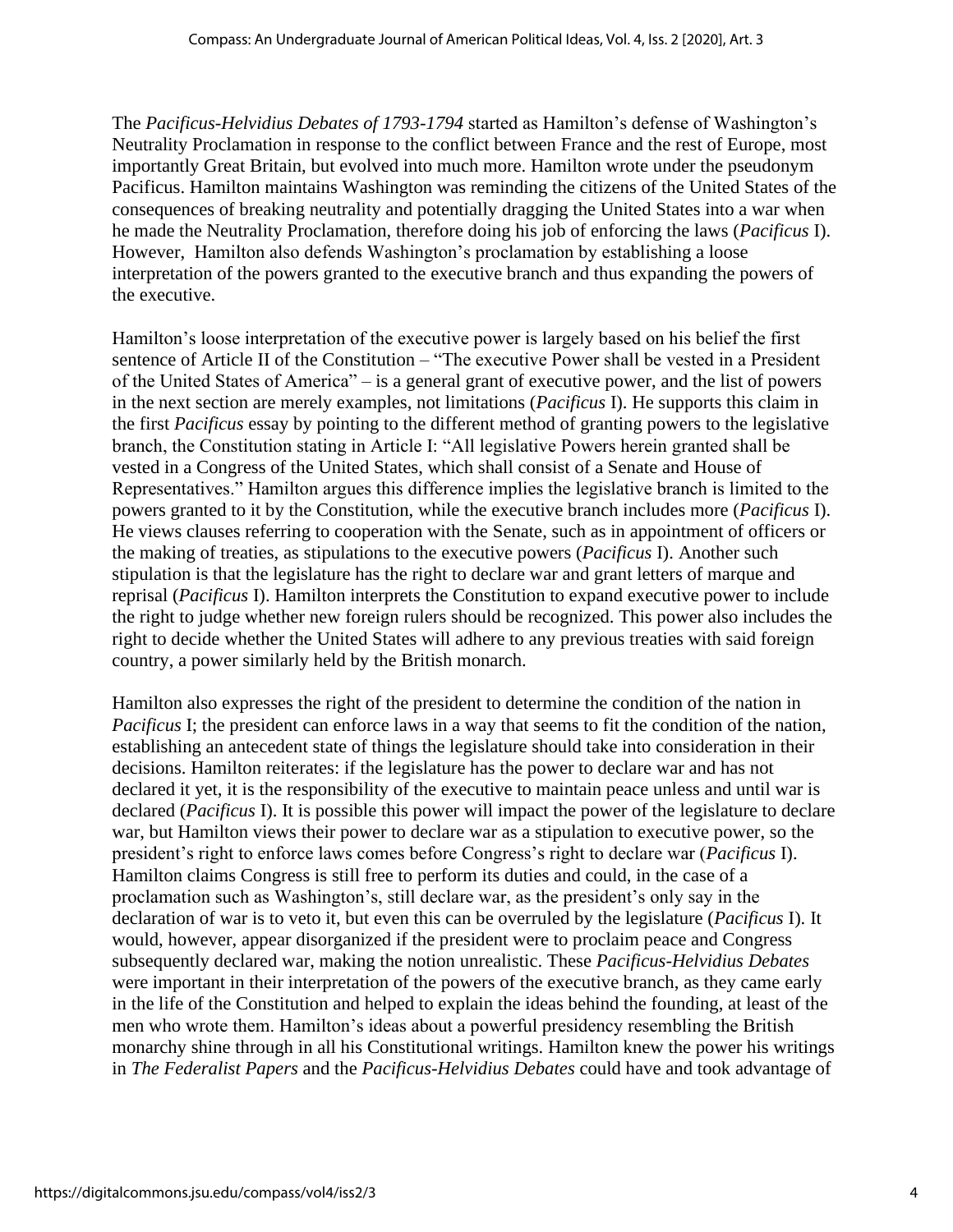The *Pacificus-Helvidius Debates of 1793-1794* started as Hamilton's defense of Washington's Neutrality Proclamation in response to the conflict between France and the rest of Europe, most importantly Great Britain, but evolved into much more. Hamilton wrote under the pseudonym Pacificus. Hamilton maintains Washington was reminding the citizens of the United States of the consequences of breaking neutrality and potentially dragging the United States into a war when he made the Neutrality Proclamation, therefore doing his job of enforcing the laws (*Pacificus* I). However, Hamilton also defends Washington's proclamation by establishing a loose interpretation of the powers granted to the executive branch and thus expanding the powers of the executive.

Hamilton's loose interpretation of the executive power is largely based on his belief the first sentence of Article II of the Constitution – "The executive Power shall be vested in a President of the United States of America" – is a general grant of executive power, and the list of powers in the next section are merely examples, not limitations (*Pacificus* I). He supports this claim in the first *Pacificus* essay by pointing to the different method of granting powers to the legislative branch, the Constitution stating in Article I: "All legislative Powers herein granted shall be vested in a Congress of the United States, which shall consist of a Senate and House of Representatives." Hamilton argues this difference implies the legislative branch is limited to the powers granted to it by the Constitution, while the executive branch includes more (*Pacificus* I). He views clauses referring to cooperation with the Senate, such as in appointment of officers or the making of treaties, as stipulations to the executive powers (*Pacificus* I). Another such stipulation is that the legislature has the right to declare war and grant letters of marque and reprisal (*Pacificus* I). Hamilton interprets the Constitution to expand executive power to include the right to judge whether new foreign rulers should be recognized. This power also includes the right to decide whether the United States will adhere to any previous treaties with said foreign country, a power similarly held by the British monarch.

Hamilton also expresses the right of the president to determine the condition of the nation in *Pacificus* I; the president can enforce laws in a way that seems to fit the condition of the nation, establishing an antecedent state of things the legislature should take into consideration in their decisions. Hamilton reiterates: if the legislature has the power to declare war and has not declared it yet, it is the responsibility of the executive to maintain peace unless and until war is declared (*Pacificus* I). It is possible this power will impact the power of the legislature to declare war, but Hamilton views their power to declare war as a stipulation to executive power, so the president's right to enforce laws comes before Congress's right to declare war (*Pacificus* I). Hamilton claims Congress is still free to perform its duties and could, in the case of a proclamation such as Washington's, still declare war, as the president's only say in the declaration of war is to veto it, but even this can be overruled by the legislature (*Pacificus* I). It would, however, appear disorganized if the president were to proclaim peace and Congress subsequently declared war, making the notion unrealistic. These *Pacificus-Helvidius Debates* were important in their interpretation of the powers of the executive branch, as they came early in the life of the Constitution and helped to explain the ideas behind the founding, at least of the men who wrote them. Hamilton's ideas about a powerful presidency resembling the British monarchy shine through in all his Constitutional writings. Hamilton knew the power his writings in *The Federalist Papers* and the *Pacificus-Helvidius Debates* could have and took advantage of